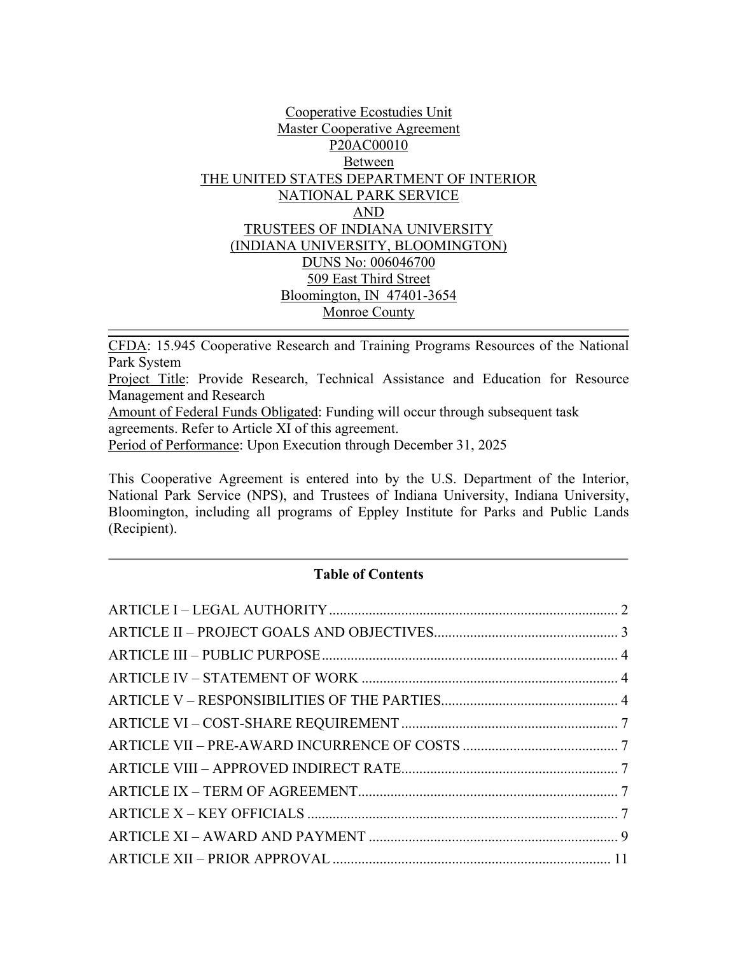## Cooperative Ecostudies Unit Master Cooperative Agreement P20AC00010 Between THE UNITED STATES DEPARTMENT OF INTERIOR NATIONAL PARK SERVICE AND TRUSTEES OF INDIANA UNIVERSITY (INDIANA UNIVERSITY, BLOOMINGTON) DUNS No: 006046700 509 East Third Street Bloomington, IN 47401-3654 Monroe County

CFDA: 15.945 Cooperative Research and Training Programs Resources of the National Park System

Project Title: Provide Research, Technical Assistance and Education for Resource Management and Research

Amount of Federal Funds Obligated: Funding will occur through subsequent task agreements. Refer to Article XI of this agreement.

Period of Performance: Upon Execution through December 31, 2025

This Cooperative Agreement is entered into by the U.S. Department of the Interior, National Park Service (NPS), and Trustees of Indiana University, Indiana University, Bloomington, including all programs of Eppley Institute for Parks and Public Lands (Recipient).

## **Table of Contents**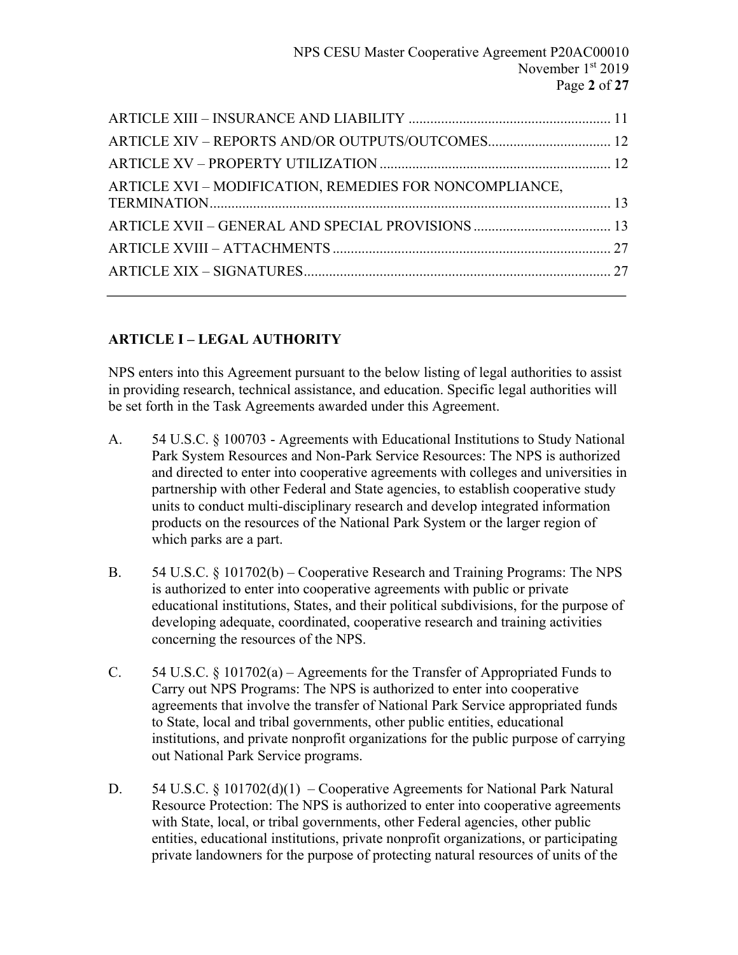| ARTICLE XVI - MODIFICATION, REMEDIES FOR NONCOMPLIANCE, |  |
|---------------------------------------------------------|--|
|                                                         |  |
|                                                         |  |
|                                                         |  |
|                                                         |  |
|                                                         |  |
|                                                         |  |

# **ARTICLE I – LEGAL AUTHORITY**

NPS enters into this Agreement pursuant to the below listing of legal authorities to assist in providing research, technical assistance, and education. Specific legal authorities will be set forth in the Task Agreements awarded under this Agreement.

- A. 54 U.S.C. § 100703 Agreements with Educational Institutions to Study National Park System Resources and Non-Park Service Resources: The NPS is authorized and directed to enter into cooperative agreements with colleges and universities in partnership with other Federal and State agencies, to establish cooperative study units to conduct multi-disciplinary research and develop integrated information products on the resources of the National Park System or the larger region of which parks are a part.
- B. 54 U.S.C. § 101702(b) Cooperative Research and Training Programs: The NPS is authorized to enter into cooperative agreements with public or private educational institutions, States, and their political subdivisions, for the purpose of developing adequate, coordinated, cooperative research and training activities concerning the resources of the NPS.
- C. 54 U.S.C. § 101702(a) Agreements for the Transfer of Appropriated Funds to Carry out NPS Programs: The NPS is authorized to enter into cooperative agreements that involve the transfer of National Park Service appropriated funds to State, local and tribal governments, other public entities, educational institutions, and private nonprofit organizations for the public purpose of carrying out National Park Service programs.
- D. 54 U.S.C. § 101702(d)(1) Cooperative Agreements for National Park Natural Resource Protection: The NPS is authorized to enter into cooperative agreements with State, local, or tribal governments, other Federal agencies, other public entities, educational institutions, private nonprofit organizations, or participating private landowners for the purpose of protecting natural resources of units of the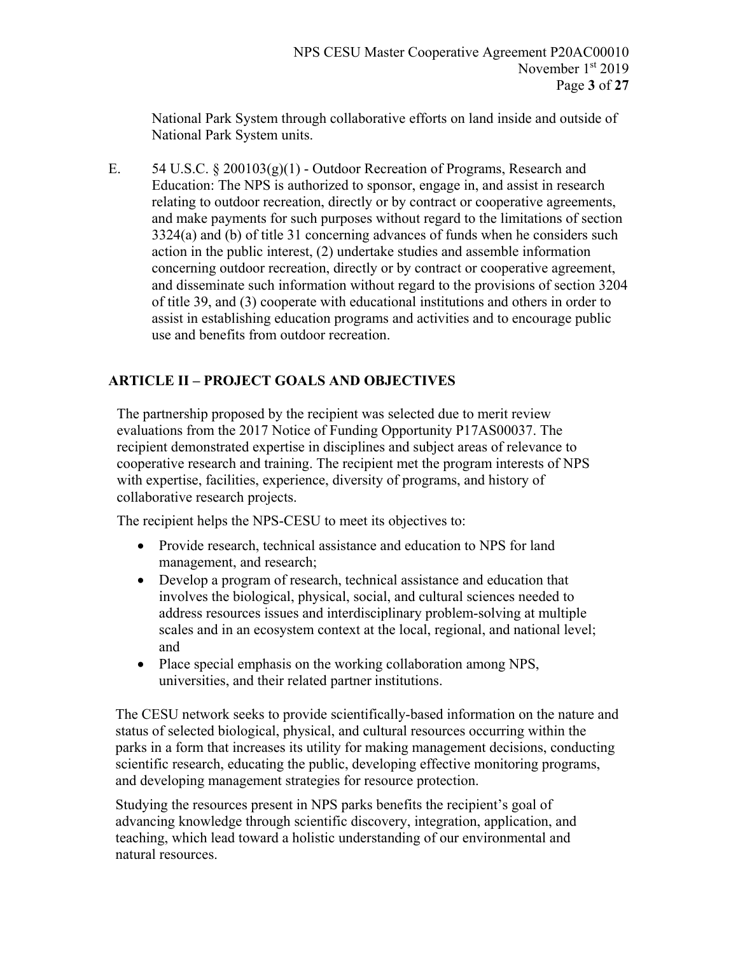National Park System through collaborative efforts on land inside and outside of National Park System units.

E.  $54 \text{ U.S.C.} \& 200103(g)(1)$  - Outdoor Recreation of Programs, Research and Education: The NPS is authorized to sponsor, engage in, and assist in research relating to outdoor recreation, directly or by contract or cooperative agreements, and make payments for such purposes without regard to the limitations of section 3324(a) and (b) of title 31 concerning advances of funds when he considers such action in the public interest, (2) undertake studies and assemble information concerning outdoor recreation, directly or by contract or cooperative agreement, and disseminate such information without regard to the provisions of section 3204 of title 39, and (3) cooperate with educational institutions and others in order to assist in establishing education programs and activities and to encourage public use and benefits from outdoor recreation.

# **ARTICLE II – PROJECT GOALS AND OBJECTIVES**

The partnership proposed by the recipient was selected due to merit review evaluations from the 2017 Notice of Funding Opportunity P17AS00037. The recipient demonstrated expertise in disciplines and subject areas of relevance to cooperative research and training. The recipient met the program interests of NPS with expertise, facilities, experience, diversity of programs, and history of collaborative research projects.

The recipient helps the NPS-CESU to meet its objectives to:

- Provide research, technical assistance and education to NPS for land management, and research;
- Develop a program of research, technical assistance and education that involves the biological, physical, social, and cultural sciences needed to address resources issues and interdisciplinary problem-solving at multiple scales and in an ecosystem context at the local, regional, and national level; and
- Place special emphasis on the working collaboration among NPS, universities, and their related partner institutions.

The CESU network seeks to provide scientifically-based information on the nature and status of selected biological, physical, and cultural resources occurring within the parks in a form that increases its utility for making management decisions, conducting scientific research, educating the public, developing effective monitoring programs, and developing management strategies for resource protection.

Studying the resources present in NPS parks benefits the recipient's goal of advancing knowledge through scientific discovery, integration, application, and teaching, which lead toward a holistic understanding of our environmental and natural resources.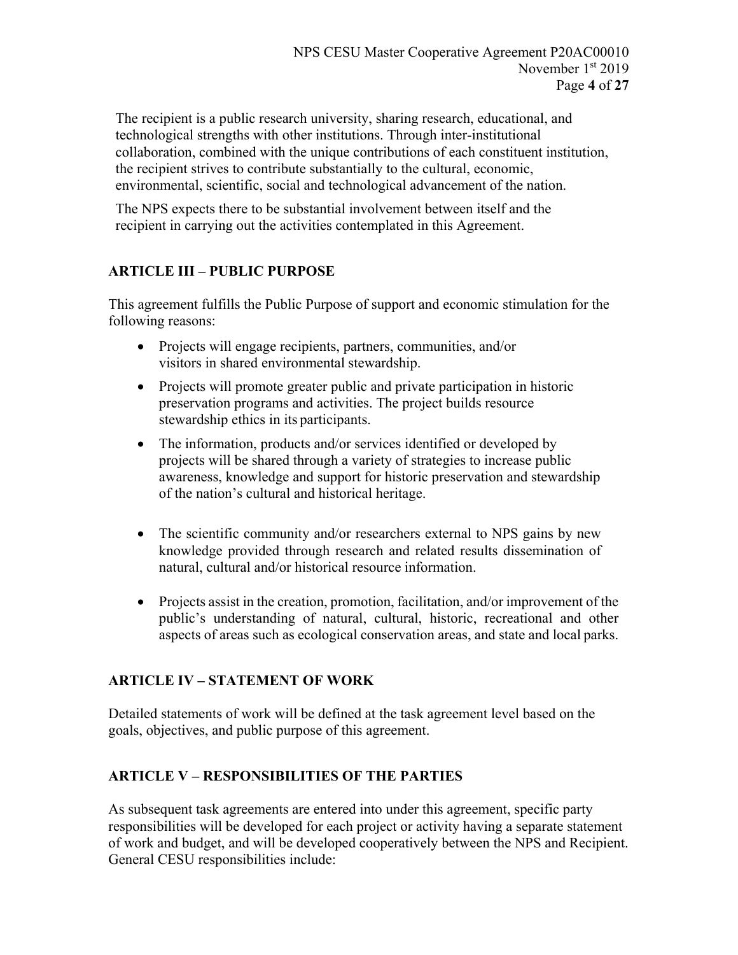The recipient is a public research university, sharing research, educational, and technological strengths with other institutions. Through inter-institutional collaboration, combined with the unique contributions of each constituent institution, the recipient strives to contribute substantially to the cultural, economic, environmental, scientific, social and technological advancement of the nation.

The NPS expects there to be substantial involvement between itself and the recipient in carrying out the activities contemplated in this Agreement.

# **ARTICLE III – PUBLIC PURPOSE**

This agreement fulfills the Public Purpose of support and economic stimulation for the following reasons:

- Projects will engage recipients, partners, communities, and/or visitors in shared environmental stewardship.
- Projects will promote greater public and private participation in historic preservation programs and activities. The project builds resource stewardship ethics in its participants.
- The information, products and/or services identified or developed by projects will be shared through a variety of strategies to increase public awareness, knowledge and support for historic preservation and stewardship of the nation's cultural and historical heritage.
- The scientific community and/or researchers external to NPS gains by new knowledge provided through research and related results dissemination of natural, cultural and/or historical resource information.
- Projects assist in the creation, promotion, facilitation, and/or improvement of the public's understanding of natural, cultural, historic, recreational and other aspects of areas such as ecological conservation areas, and state and local parks.

# **ARTICLE IV – STATEMENT OF WORK**

Detailed statements of work will be defined at the task agreement level based on the goals, objectives, and public purpose of this agreement.

# **ARTICLE V – RESPONSIBILITIES OF THE PARTIES**

As subsequent task agreements are entered into under this agreement, specific party responsibilities will be developed for each project or activity having a separate statement of work and budget, and will be developed cooperatively between the NPS and Recipient. General CESU responsibilities include: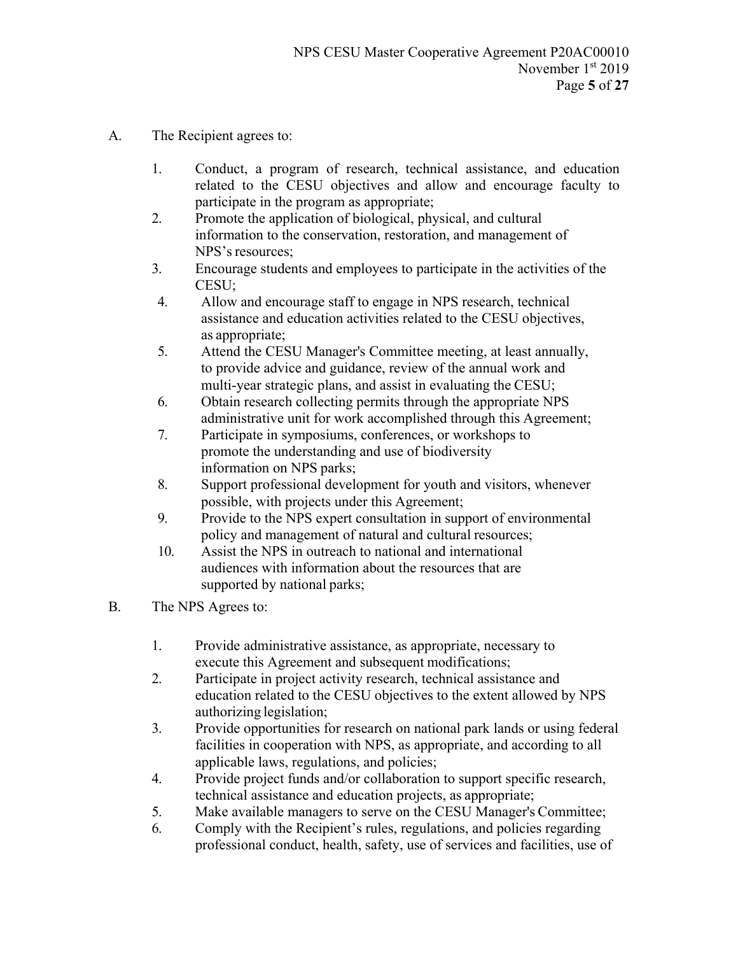- A. The Recipient agrees to:
	- 1. Conduct, a program of research, technical assistance, and education related to the CESU objectives and allow and encourage faculty to participate in the program as appropriate;
	- 2. Promote the application of biological, physical, and cultural information to the conservation, restoration, and management of NPS's resources;
	- 3. Encourage students and employees to participate in the activities of the CESU;
	- 4. Allow and encourage staff to engage in NPS research, technical assistance and education activities related to the CESU objectives, as appropriate;
	- 5. Attend the CESU Manager's Committee meeting, at least annually, to provide advice and guidance, review of the annual work and multi-year strategic plans, and assist in evaluating the CESU;
	- 6. Obtain research collecting permits through the appropriate NPS administrative unit for work accomplished through this Agreement;
	- 7. Participate in symposiums, conferences, or workshops to promote the understanding and use of biodiversity information on NPS parks;
	- 8. Support professional development for youth and visitors, whenever possible, with projects under this Agreement;
	- 9. Provide to the NPS expert consultation in support of environmental policy and management of natural and cultural resources;
	- 10. Assist the NPS in outreach to national and international audiences with information about the resources that are supported by national parks;
- B. The NPS Agrees to:
	- 1. Provide administrative assistance, as appropriate, necessary to execute this Agreement and subsequent modifications;
	- 2. Participate in project activity research, technical assistance and education related to the CESU objectives to the extent allowed by NPS authorizing legislation;
	- 3. Provide opportunities for research on national park lands or using federal facilities in cooperation with NPS, as appropriate, and according to all applicable laws, regulations, and policies;
	- 4. Provide project funds and/or collaboration to support specific research, technical assistance and education projects, as appropriate;
	- 5. Make available managers to serve on the CESU Manager's Committee;
	- 6. Comply with the Recipient's rules, regulations, and policies regarding professional conduct, health, safety, use of services and facilities, use of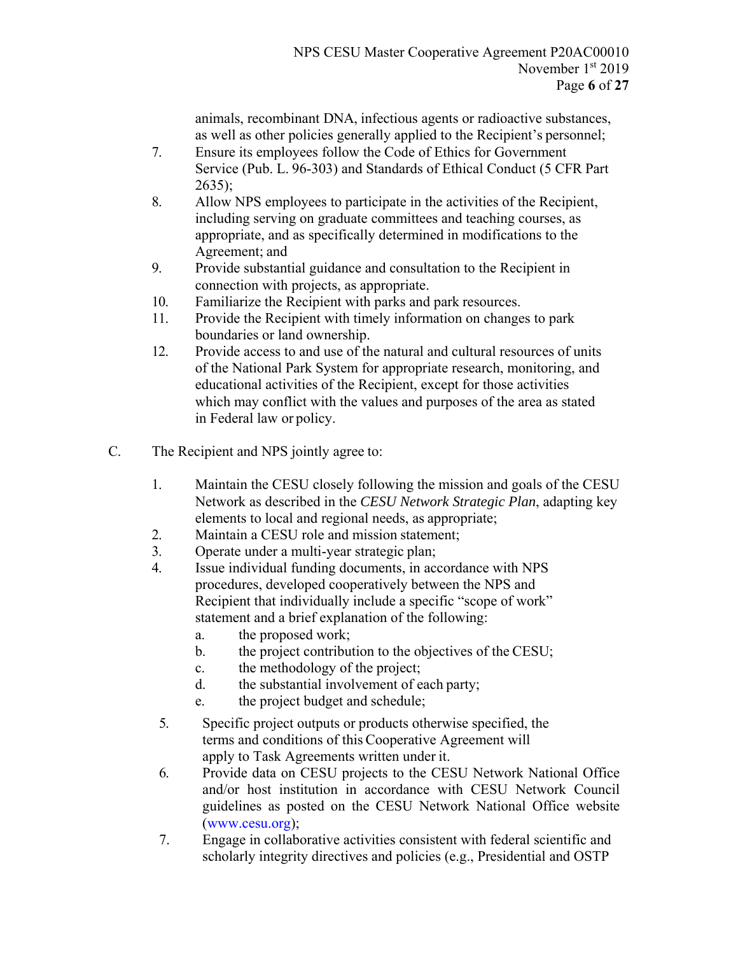animals, recombinant DNA, infectious agents or radioactive substances, as well as other policies generally applied to the Recipient's personnel;

- 7. Ensure its employees follow the Code of Ethics for Government Service (Pub. L. 96-303) and Standards of Ethical Conduct (5 CFR Part 2635);
- 8. Allow NPS employees to participate in the activities of the Recipient, including serving on graduate committees and teaching courses, as appropriate, and as specifically determined in modifications to the Agreement; and
- 9. Provide substantial guidance and consultation to the Recipient in connection with projects, as appropriate.
- 10. Familiarize the Recipient with parks and park resources.
- 11. Provide the Recipient with timely information on changes to park boundaries or land ownership.
- 12. Provide access to and use of the natural and cultural resources of units of the National Park System for appropriate research, monitoring, and educational activities of the Recipient, except for those activities which may conflict with the values and purposes of the area as stated in Federal law or policy.
- C. The Recipient and NPS jointly agree to:
	- 1. Maintain the CESU closely following the mission and goals of the CESU Network as described in the *CESU Network Strategic Plan*, adapting key elements to local and regional needs, as appropriate;
	- 2. Maintain a CESU role and mission statement;
	- 3. Operate under a multi-year strategic plan;
	- 4. Issue individual funding documents, in accordance with NPS procedures, developed cooperatively between the NPS and Recipient that individually include a specific "scope of work" statement and a brief explanation of the following:
		- a. the proposed work;
		- b. the project contribution to the objectives of the CESU;
		- c. the methodology of the project;
		- d. the substantial involvement of each party;
		- e. the project budget and schedule;
	- 5. Specific project outputs or products otherwise specified, the terms and conditions of this Cooperative Agreement will apply to Task Agreements written under it.
	- 6. Provide data on CESU projects to the CESU Network National Office and/or host institution in accordance with CESU Network Council guidelines as posted on the CESU Network National Office website (www.cesu.org);
	- 7. Engage in collaborative activities consistent with federal scientific and scholarly integrity directives and policies (e.g., Presidential and OSTP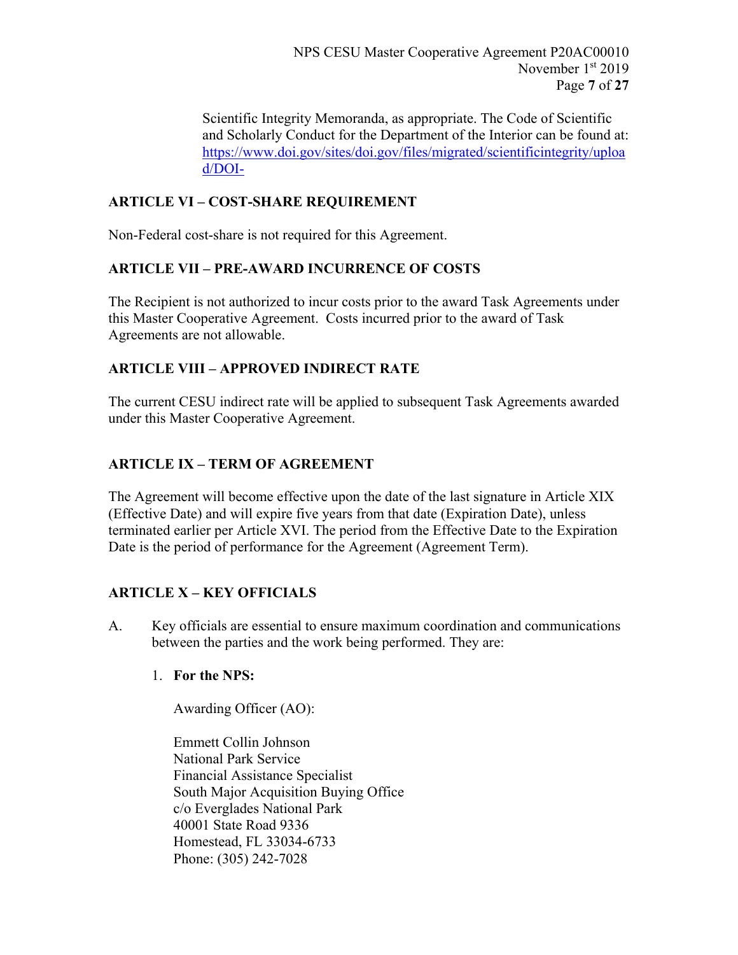Scientific Integrity Memoranda, as appropriate. The Code of Scientific and Scholarly Conduct for the Department of the Interior can be found at: https://www.doi.gov/sites/doi.gov/files/migrated/scientificintegrity/uploa d/DOI-

# **ARTICLE VI – COST-SHARE REQUIREMENT**

Non-Federal cost-share is not required for this Agreement.

# **ARTICLE VII – PRE-AWARD INCURRENCE OF COSTS**

The Recipient is not authorized to incur costs prior to the award Task Agreements under this Master Cooperative Agreement. Costs incurred prior to the award of Task Agreements are not allowable.

# **ARTICLE VIII – APPROVED INDIRECT RATE**

The current CESU indirect rate will be applied to subsequent Task Agreements awarded under this Master Cooperative Agreement.

# **ARTICLE IX – TERM OF AGREEMENT**

The Agreement will become effective upon the date of the last signature in Article XIX (Effective Date) and will expire five years from that date (Expiration Date), unless terminated earlier per Article XVI. The period from the Effective Date to the Expiration Date is the period of performance for the Agreement (Agreement Term).

# **ARTICLE X – KEY OFFICIALS**

A. Key officials are essential to ensure maximum coordination and communications between the parties and the work being performed. They are:

## 1. **For the NPS:**

Awarding Officer (AO):

Emmett Collin Johnson National Park Service Financial Assistance Specialist South Major Acquisition Buying Office c/o Everglades National Park 40001 State Road 9336 Homestead, FL 33034-6733 Phone: (305) 242-7028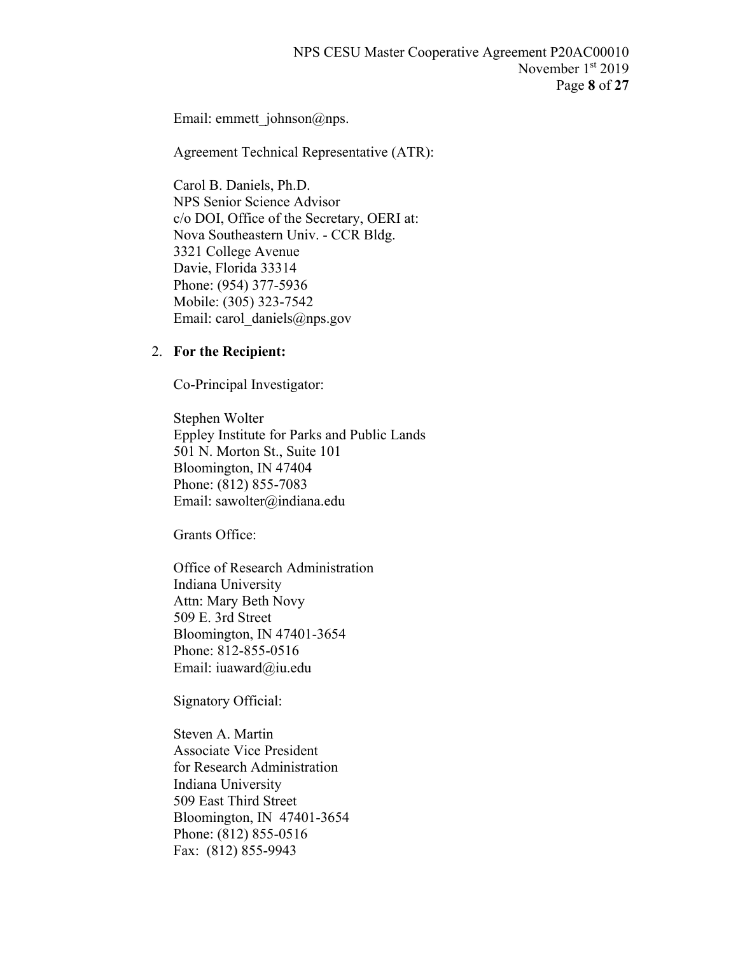Email: emmett\_johnson@nps.

Agreement Technical Representative (ATR):

Carol B. Daniels, Ph.D. NPS Senior Science Advisor c/o DOI, Office of the Secretary, OERI at: Nova Southeastern Univ. - CCR Bldg. 3321 College Avenue Davie, Florida 33314 Phone: (954) 377-5936 Mobile: (305) 323-7542 Email: carol\_daniels@nps.gov

### 2. **For the Recipient:**

Co-Principal Investigator:

Stephen Wolter Eppley Institute for Parks and Public Lands 501 N. Morton St., Suite 101 Bloomington, IN 47404 Phone: (812) 855-7083 Email: sawolter@indiana.edu

Grants Office:

Office of Research Administration Indiana University Attn: Mary Beth Novy 509 E. 3rd Street Bloomington, IN 47401-3654 Phone: 812-855-0516 Email: iuaward@iu.edu

Signatory Official:

Steven A. Martin Associate Vice President for Research Administration Indiana University 509 East Third Street Bloomington, IN 47401-3654 Phone: (812) 855-0516 Fax: (812) 855-9943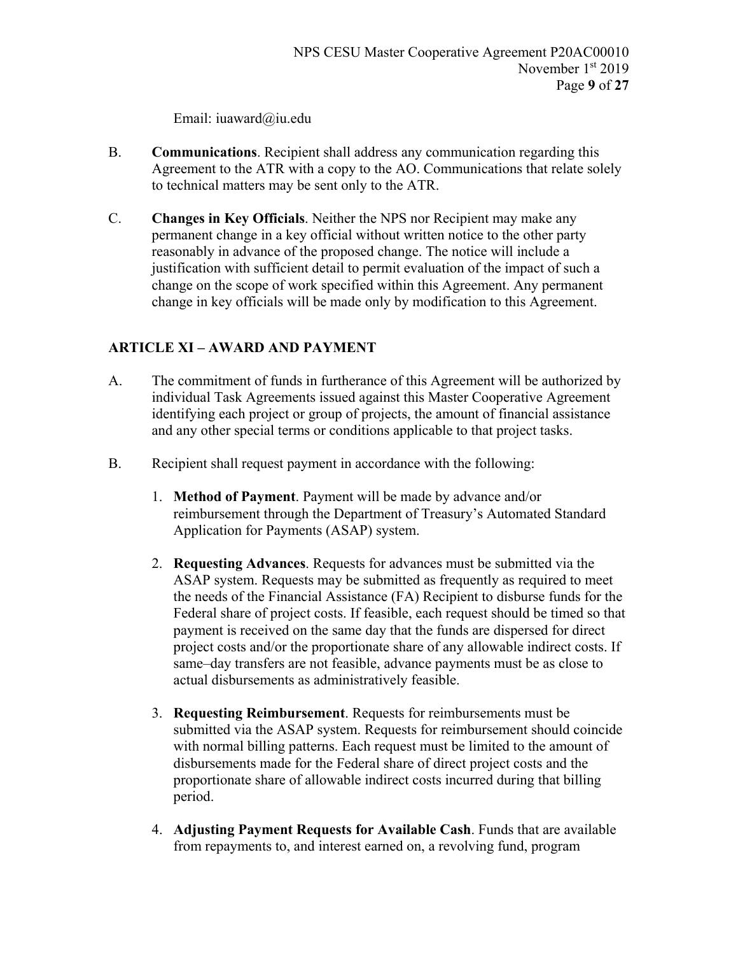Email: iuaward@iu.edu

- B. **Communications**. Recipient shall address any communication regarding this Agreement to the ATR with a copy to the AO. Communications that relate solely to technical matters may be sent only to the ATR.
- C. **Changes in Key Officials**. Neither the NPS nor Recipient may make any permanent change in a key official without written notice to the other party reasonably in advance of the proposed change. The notice will include a justification with sufficient detail to permit evaluation of the impact of such a change on the scope of work specified within this Agreement. Any permanent change in key officials will be made only by modification to this Agreement.

# **ARTICLE XI – AWARD AND PAYMENT**

- A. The commitment of funds in furtherance of this Agreement will be authorized by individual Task Agreements issued against this Master Cooperative Agreement identifying each project or group of projects, the amount of financial assistance and any other special terms or conditions applicable to that project tasks.
- B. Recipient shall request payment in accordance with the following:
	- 1. **Method of Payment**. Payment will be made by advance and/or reimbursement through the Department of Treasury's Automated Standard Application for Payments (ASAP) system.
	- 2. **Requesting Advances**. Requests for advances must be submitted via the ASAP system. Requests may be submitted as frequently as required to meet the needs of the Financial Assistance (FA) Recipient to disburse funds for the Federal share of project costs. If feasible, each request should be timed so that payment is received on the same day that the funds are dispersed for direct project costs and/or the proportionate share of any allowable indirect costs. If same–day transfers are not feasible, advance payments must be as close to actual disbursements as administratively feasible.
	- 3. **Requesting Reimbursement**. Requests for reimbursements must be submitted via the ASAP system. Requests for reimbursement should coincide with normal billing patterns. Each request must be limited to the amount of disbursements made for the Federal share of direct project costs and the proportionate share of allowable indirect costs incurred during that billing period.
	- 4. **Adjusting Payment Requests for Available Cash**. Funds that are available from repayments to, and interest earned on, a revolving fund, program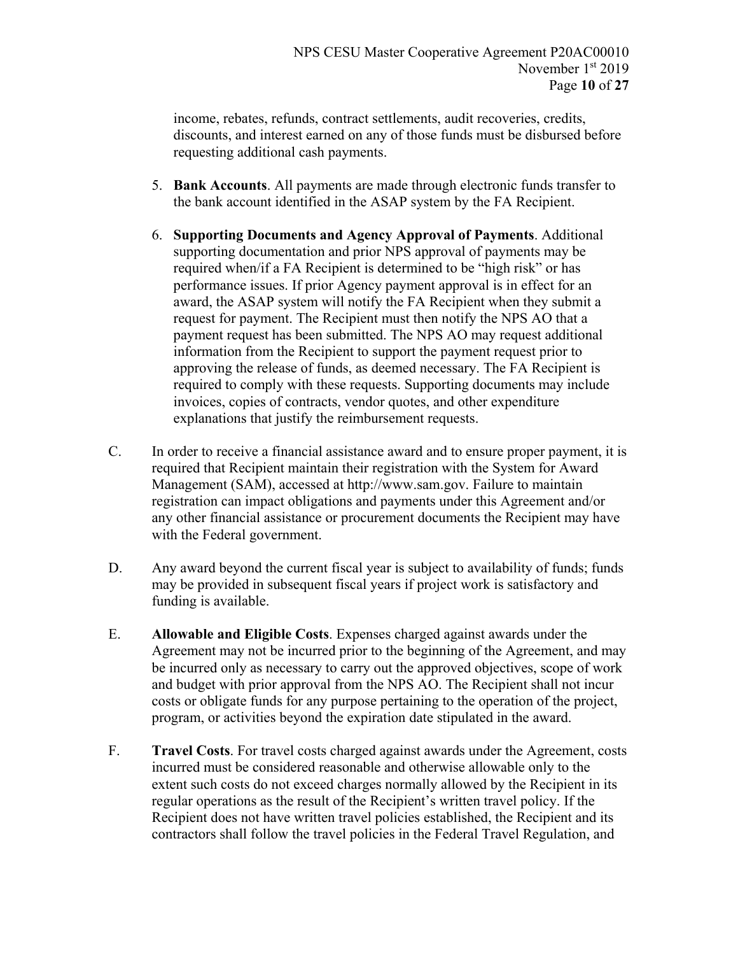income, rebates, refunds, contract settlements, audit recoveries, credits, discounts, and interest earned on any of those funds must be disbursed before requesting additional cash payments.

- 5. **Bank Accounts**. All payments are made through electronic funds transfer to the bank account identified in the ASAP system by the FA Recipient.
- 6. **Supporting Documents and Agency Approval of Payments**. Additional supporting documentation and prior NPS approval of payments may be required when/if a FA Recipient is determined to be "high risk" or has performance issues. If prior Agency payment approval is in effect for an award, the ASAP system will notify the FA Recipient when they submit a request for payment. The Recipient must then notify the NPS AO that a payment request has been submitted. The NPS AO may request additional information from the Recipient to support the payment request prior to approving the release of funds, as deemed necessary. The FA Recipient is required to comply with these requests. Supporting documents may include invoices, copies of contracts, vendor quotes, and other expenditure explanations that justify the reimbursement requests.
- C. In order to receive a financial assistance award and to ensure proper payment, it is required that Recipient maintain their registration with the System for Award Management (SAM), accessed at http://www.sam.gov. Failure to maintain registration can impact obligations and payments under this Agreement and/or any other financial assistance or procurement documents the Recipient may have with the Federal government.
- D. Any award beyond the current fiscal year is subject to availability of funds; funds may be provided in subsequent fiscal years if project work is satisfactory and funding is available.
- E. **Allowable and Eligible Costs**. Expenses charged against awards under the Agreement may not be incurred prior to the beginning of the Agreement, and may be incurred only as necessary to carry out the approved objectives, scope of work and budget with prior approval from the NPS AO. The Recipient shall not incur costs or obligate funds for any purpose pertaining to the operation of the project, program, or activities beyond the expiration date stipulated in the award.
- F. **Travel Costs**. For travel costs charged against awards under the Agreement, costs incurred must be considered reasonable and otherwise allowable only to the extent such costs do not exceed charges normally allowed by the Recipient in its regular operations as the result of the Recipient's written travel policy. If the Recipient does not have written travel policies established, the Recipient and its contractors shall follow the travel policies in the Federal Travel Regulation, and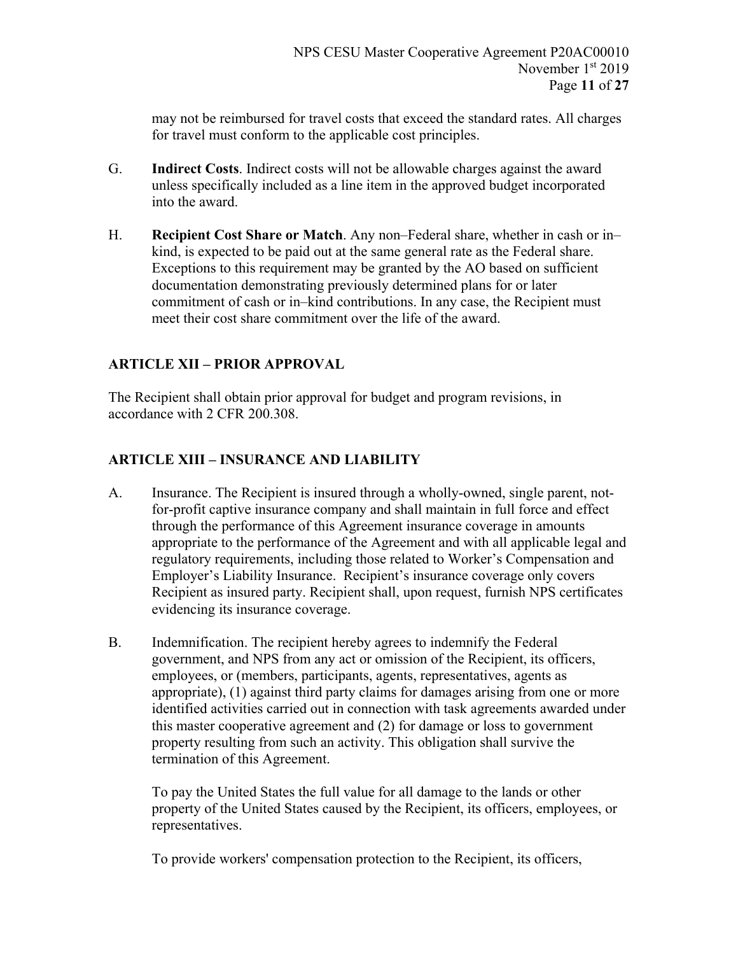may not be reimbursed for travel costs that exceed the standard rates. All charges for travel must conform to the applicable cost principles.

- G. **Indirect Costs**. Indirect costs will not be allowable charges against the award unless specifically included as a line item in the approved budget incorporated into the award.
- H. **Recipient Cost Share or Match**. Any non–Federal share, whether in cash or in– kind, is expected to be paid out at the same general rate as the Federal share. Exceptions to this requirement may be granted by the AO based on sufficient documentation demonstrating previously determined plans for or later commitment of cash or in–kind contributions. In any case, the Recipient must meet their cost share commitment over the life of the award.

# **ARTICLE XII – PRIOR APPROVAL**

The Recipient shall obtain prior approval for budget and program revisions, in accordance with 2 CFR 200.308.

# **ARTICLE XIII – INSURANCE AND LIABILITY**

- A. Insurance. The Recipient is insured through a wholly-owned, single parent, notfor-profit captive insurance company and shall maintain in full force and effect through the performance of this Agreement insurance coverage in amounts appropriate to the performance of the Agreement and with all applicable legal and regulatory requirements, including those related to Worker's Compensation and Employer's Liability Insurance. Recipient's insurance coverage only covers Recipient as insured party. Recipient shall, upon request, furnish NPS certificates evidencing its insurance coverage.
- B. Indemnification. The recipient hereby agrees to indemnify the Federal government, and NPS from any act or omission of the Recipient, its officers, employees, or (members, participants, agents, representatives, agents as appropriate), (1) against third party claims for damages arising from one or more identified activities carried out in connection with task agreements awarded under this master cooperative agreement and (2) for damage or loss to government property resulting from such an activity. This obligation shall survive the termination of this Agreement.

To pay the United States the full value for all damage to the lands or other property of the United States caused by the Recipient, its officers, employees, or representatives.

To provide workers' compensation protection to the Recipient, its officers,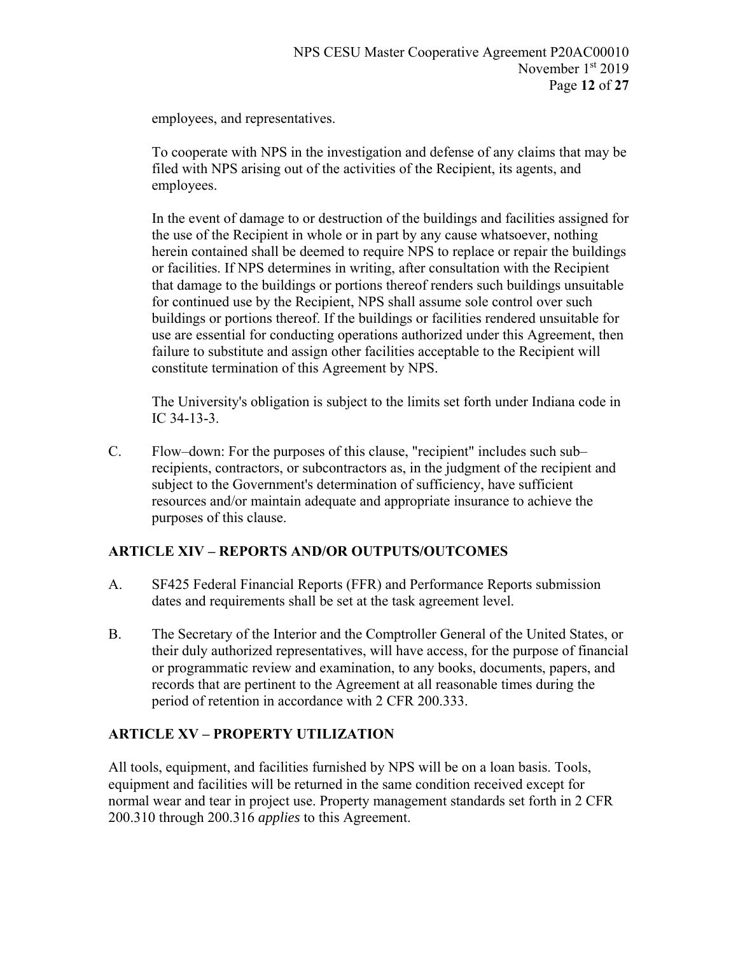employees, and representatives.

To cooperate with NPS in the investigation and defense of any claims that may be filed with NPS arising out of the activities of the Recipient, its agents, and employees.

In the event of damage to or destruction of the buildings and facilities assigned for the use of the Recipient in whole or in part by any cause whatsoever, nothing herein contained shall be deemed to require NPS to replace or repair the buildings or facilities. If NPS determines in writing, after consultation with the Recipient that damage to the buildings or portions thereof renders such buildings unsuitable for continued use by the Recipient, NPS shall assume sole control over such buildings or portions thereof. If the buildings or facilities rendered unsuitable for use are essential for conducting operations authorized under this Agreement, then failure to substitute and assign other facilities acceptable to the Recipient will constitute termination of this Agreement by NPS.

The University's obligation is subject to the limits set forth under Indiana code in IC 34-13-3.

C. Flow–down: For the purposes of this clause, "recipient" includes such sub– recipients, contractors, or subcontractors as, in the judgment of the recipient and subject to the Government's determination of sufficiency, have sufficient resources and/or maintain adequate and appropriate insurance to achieve the purposes of this clause.

## **ARTICLE XIV – REPORTS AND/OR OUTPUTS/OUTCOMES**

- A. SF425 Federal Financial Reports (FFR) and Performance Reports submission dates and requirements shall be set at the task agreement level.
- B. The Secretary of the Interior and the Comptroller General of the United States, or their duly authorized representatives, will have access, for the purpose of financial or programmatic review and examination, to any books, documents, papers, and records that are pertinent to the Agreement at all reasonable times during the period of retention in accordance with 2 CFR 200.333.

## **ARTICLE XV – PROPERTY UTILIZATION**

All tools, equipment, and facilities furnished by NPS will be on a loan basis. Tools, equipment and facilities will be returned in the same condition received except for normal wear and tear in project use. Property management standards set forth in 2 CFR 200.310 through 200.316 *applies* to this Agreement.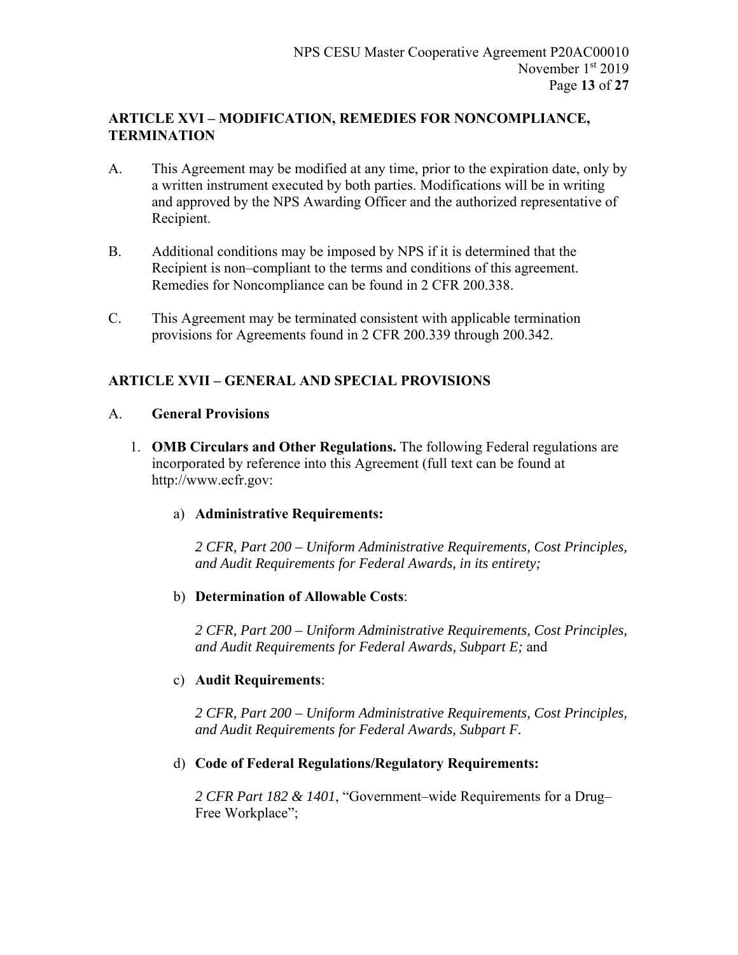## **ARTICLE XVI – MODIFICATION, REMEDIES FOR NONCOMPLIANCE, TERMINATION**

- A. This Agreement may be modified at any time, prior to the expiration date, only by a written instrument executed by both parties. Modifications will be in writing and approved by the NPS Awarding Officer and the authorized representative of Recipient.
- B. Additional conditions may be imposed by NPS if it is determined that the Recipient is non–compliant to the terms and conditions of this agreement. Remedies for Noncompliance can be found in 2 CFR 200.338.
- C. This Agreement may be terminated consistent with applicable termination provisions for Agreements found in 2 CFR 200.339 through 200.342.

# **ARTICLE XVII – GENERAL AND SPECIAL PROVISIONS**

### A. **General Provisions**

1. **OMB Circulars and Other Regulations.** The following Federal regulations are incorporated by reference into this Agreement (full text can be found at http://www.ecfr.gov:

## a) **Administrative Requirements:**

*2 CFR, Part 200 – Uniform Administrative Requirements, Cost Principles, and Audit Requirements for Federal Awards, in its entirety;* 

## b) **Determination of Allowable Costs**:

*2 CFR, Part 200 – Uniform Administrative Requirements, Cost Principles, and Audit Requirements for Federal Awards, Subpart E;* and

### c) **Audit Requirements**:

*2 CFR, Part 200 – Uniform Administrative Requirements, Cost Principles, and Audit Requirements for Federal Awards, Subpart F.* 

### d) **Code of Federal Regulations/Regulatory Requirements:**

*2 CFR Part 182 & 1401*, "Government–wide Requirements for a Drug– Free Workplace":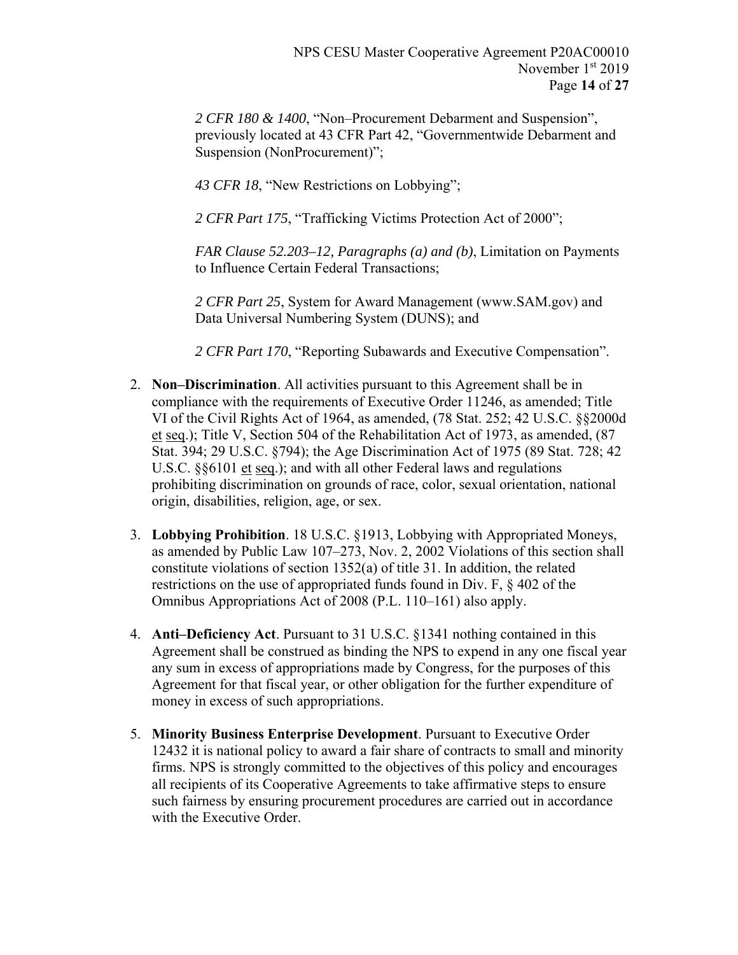*2 CFR 180 & 1400*, "Non–Procurement Debarment and Suspension", previously located at 43 CFR Part 42, "Governmentwide Debarment and Suspension (NonProcurement)";

*43 CFR 18*, "New Restrictions on Lobbying";

*2 CFR Part 175*, "Trafficking Victims Protection Act of 2000";

*FAR Clause 52.203–12, Paragraphs (a) and (b)*, Limitation on Payments to Influence Certain Federal Transactions;

*2 CFR Part 25*, System for Award Management (www.SAM.gov) and Data Universal Numbering System (DUNS); and

*2 CFR Part 170*, "Reporting Subawards and Executive Compensation".

- 2. **Non–Discrimination**. All activities pursuant to this Agreement shall be in compliance with the requirements of Executive Order 11246, as amended; Title VI of the Civil Rights Act of 1964, as amended, (78 Stat. 252; 42 U.S.C. §§2000d et seq.); Title V, Section 504 of the Rehabilitation Act of 1973, as amended, (87 Stat. 394; 29 U.S.C. §794); the Age Discrimination Act of 1975 (89 Stat. 728; 42 U.S.C. §§6101 et seq.); and with all other Federal laws and regulations prohibiting discrimination on grounds of race, color, sexual orientation, national origin, disabilities, religion, age, or sex.
- 3. **Lobbying Prohibition**. 18 U.S.C. §1913, Lobbying with Appropriated Moneys, as amended by Public Law 107–273, Nov. 2, 2002 Violations of this section shall constitute violations of section 1352(a) of title 31. In addition, the related restrictions on the use of appropriated funds found in Div. F, § 402 of the Omnibus Appropriations Act of 2008 (P.L. 110–161) also apply.
- 4. **Anti–Deficiency Act**. Pursuant to 31 U.S.C. §1341 nothing contained in this Agreement shall be construed as binding the NPS to expend in any one fiscal year any sum in excess of appropriations made by Congress, for the purposes of this Agreement for that fiscal year, or other obligation for the further expenditure of money in excess of such appropriations.
- 5. **Minority Business Enterprise Development**. Pursuant to Executive Order 12432 it is national policy to award a fair share of contracts to small and minority firms. NPS is strongly committed to the objectives of this policy and encourages all recipients of its Cooperative Agreements to take affirmative steps to ensure such fairness by ensuring procurement procedures are carried out in accordance with the Executive Order.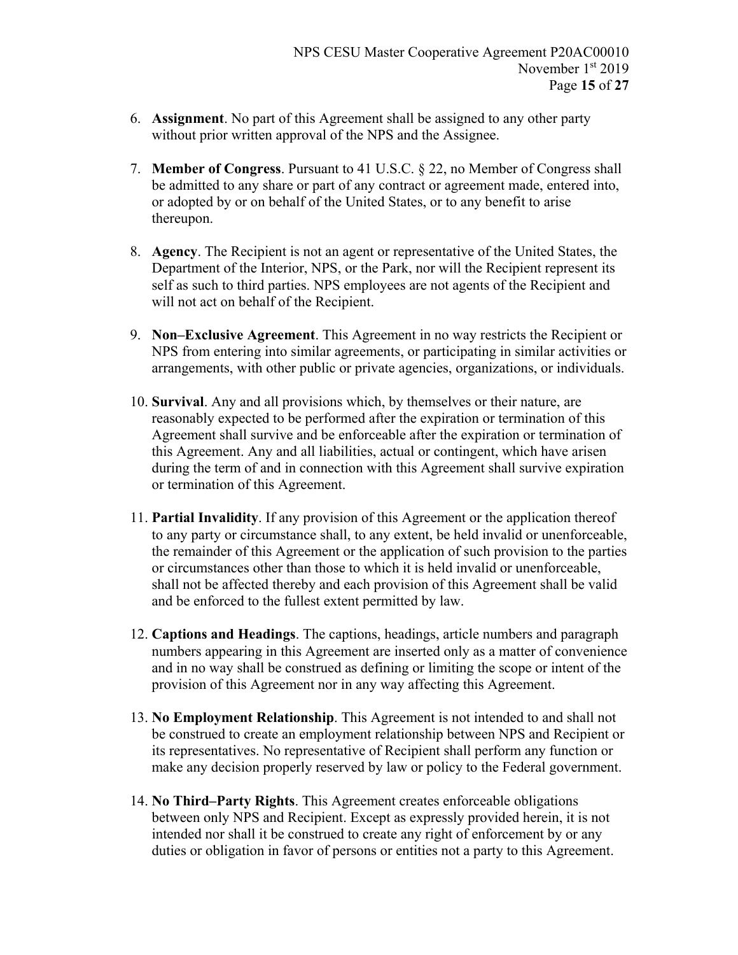- 6. **Assignment**. No part of this Agreement shall be assigned to any other party without prior written approval of the NPS and the Assignee.
- 7. **Member of Congress**. Pursuant to 41 U.S.C. § 22, no Member of Congress shall be admitted to any share or part of any contract or agreement made, entered into, or adopted by or on behalf of the United States, or to any benefit to arise thereupon.
- 8. **Agency**. The Recipient is not an agent or representative of the United States, the Department of the Interior, NPS, or the Park, nor will the Recipient represent its self as such to third parties. NPS employees are not agents of the Recipient and will not act on behalf of the Recipient.
- 9. **Non–Exclusive Agreement**. This Agreement in no way restricts the Recipient or NPS from entering into similar agreements, or participating in similar activities or arrangements, with other public or private agencies, organizations, or individuals.
- 10. **Survival**. Any and all provisions which, by themselves or their nature, are reasonably expected to be performed after the expiration or termination of this Agreement shall survive and be enforceable after the expiration or termination of this Agreement. Any and all liabilities, actual or contingent, which have arisen during the term of and in connection with this Agreement shall survive expiration or termination of this Agreement.
- 11. **Partial Invalidity**. If any provision of this Agreement or the application thereof to any party or circumstance shall, to any extent, be held invalid or unenforceable, the remainder of this Agreement or the application of such provision to the parties or circumstances other than those to which it is held invalid or unenforceable, shall not be affected thereby and each provision of this Agreement shall be valid and be enforced to the fullest extent permitted by law.
- 12. **Captions and Headings**. The captions, headings, article numbers and paragraph numbers appearing in this Agreement are inserted only as a matter of convenience and in no way shall be construed as defining or limiting the scope or intent of the provision of this Agreement nor in any way affecting this Agreement.
- 13. **No Employment Relationship**. This Agreement is not intended to and shall not be construed to create an employment relationship between NPS and Recipient or its representatives. No representative of Recipient shall perform any function or make any decision properly reserved by law or policy to the Federal government.
- 14. **No Third–Party Rights**. This Agreement creates enforceable obligations between only NPS and Recipient. Except as expressly provided herein, it is not intended nor shall it be construed to create any right of enforcement by or any duties or obligation in favor of persons or entities not a party to this Agreement.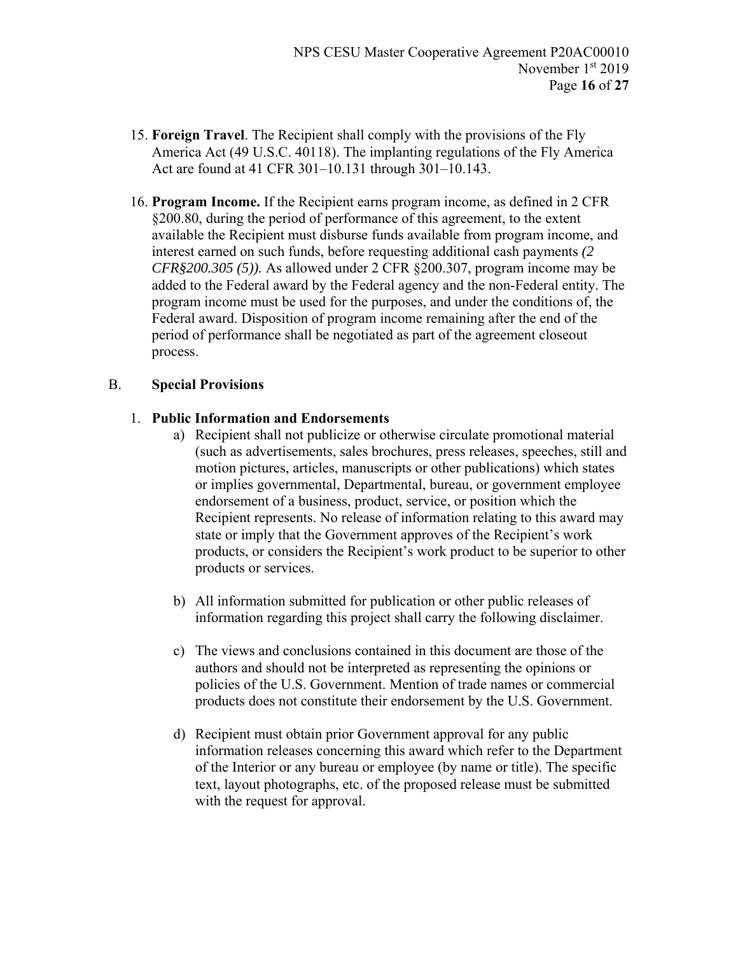- 15. **Foreign Travel**. The Recipient shall comply with the provisions of the Fly America Act (49 U.S.C. 40118). The implanting regulations of the Fly America Act are found at 41 CFR 301–10.131 through 301–10.143.
- 16. **Program Income.** If the Recipient earns program income, as defined in 2 CFR §200.80, during the period of performance of this agreement, to the extent available the Recipient must disburse funds available from program income, and interest earned on such funds, before requesting additional cash payments *(2 CFR§200.305 (5)).* As allowed under 2 CFR §200.307, program income may be added to the Federal award by the Federal agency and the non-Federal entity. The program income must be used for the purposes, and under the conditions of, the Federal award. Disposition of program income remaining after the end of the period of performance shall be negotiated as part of the agreement closeout process.

### B. **Special Provisions**

### 1. **Public Information and Endorsements**

- a) Recipient shall not publicize or otherwise circulate promotional material (such as advertisements, sales brochures, press releases, speeches, still and motion pictures, articles, manuscripts or other publications) which states or implies governmental, Departmental, bureau, or government employee endorsement of a business, product, service, or position which the Recipient represents. No release of information relating to this award may state or imply that the Government approves of the Recipient's work products, or considers the Recipient's work product to be superior to other products or services.
- b) All information submitted for publication or other public releases of information regarding this project shall carry the following disclaimer.
- c) The views and conclusions contained in this document are those of the authors and should not be interpreted as representing the opinions or policies of the U.S. Government. Mention of trade names or commercial products does not constitute their endorsement by the U.S. Government.
- d) Recipient must obtain prior Government approval for any public information releases concerning this award which refer to the Department of the Interior or any bureau or employee (by name or title). The specific text, layout photographs, etc. of the proposed release must be submitted with the request for approval.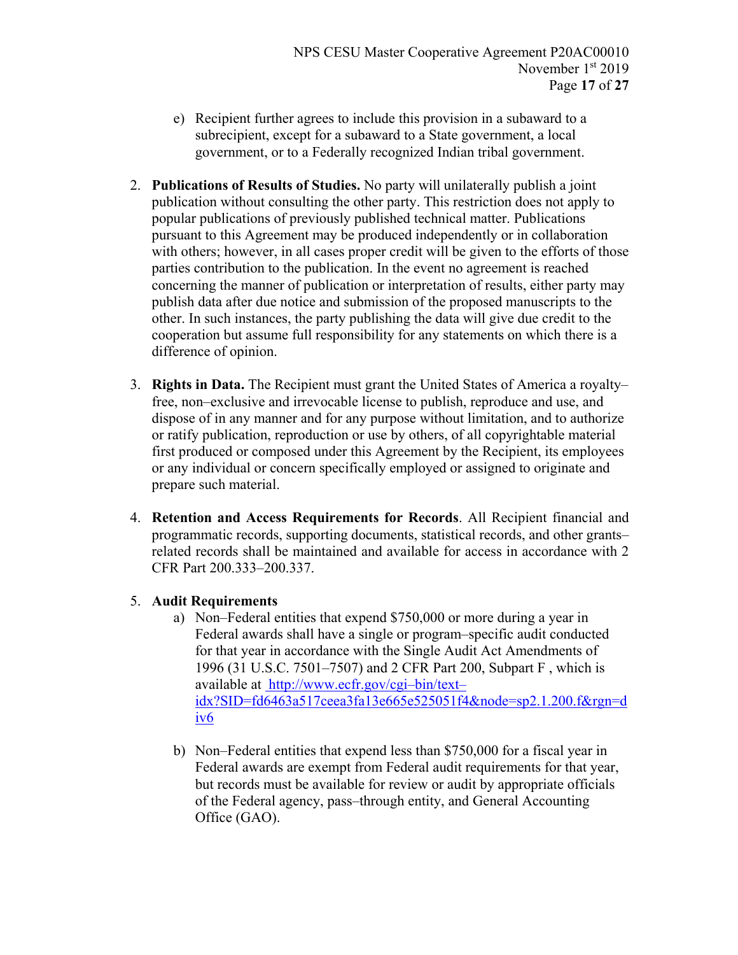- e) Recipient further agrees to include this provision in a subaward to a subrecipient, except for a subaward to a State government, a local government, or to a Federally recognized Indian tribal government.
- 2. **Publications of Results of Studies.** No party will unilaterally publish a joint publication without consulting the other party. This restriction does not apply to popular publications of previously published technical matter. Publications pursuant to this Agreement may be produced independently or in collaboration with others; however, in all cases proper credit will be given to the efforts of those parties contribution to the publication. In the event no agreement is reached concerning the manner of publication or interpretation of results, either party may publish data after due notice and submission of the proposed manuscripts to the other. In such instances, the party publishing the data will give due credit to the cooperation but assume full responsibility for any statements on which there is a difference of opinion.
- 3. **Rights in Data.** The Recipient must grant the United States of America a royalty– free, non–exclusive and irrevocable license to publish, reproduce and use, and dispose of in any manner and for any purpose without limitation, and to authorize or ratify publication, reproduction or use by others, of all copyrightable material first produced or composed under this Agreement by the Recipient, its employees or any individual or concern specifically employed or assigned to originate and prepare such material.
- 4. **Retention and Access Requirements for Records**. All Recipient financial and programmatic records, supporting documents, statistical records, and other grants– related records shall be maintained and available for access in accordance with 2 CFR Part 200.333–200.337.

## 5. **Audit Requirements**

- a) Non–Federal entities that expend \$750,000 or more during a year in Federal awards shall have a single or program–specific audit conducted for that year in accordance with the Single Audit Act Amendments of 1996 (31 U.S.C. 7501–7507) and 2 CFR Part 200, Subpart F , which is available at http://www.ecfr.gov/cgi–bin/text– idx?SID=fd6463a517ceea3fa13e665e525051f4&node=sp2.1.200.f&rgn=d iv6
- b) Non–Federal entities that expend less than \$750,000 for a fiscal year in Federal awards are exempt from Federal audit requirements for that year, but records must be available for review or audit by appropriate officials of the Federal agency, pass–through entity, and General Accounting Office (GAO).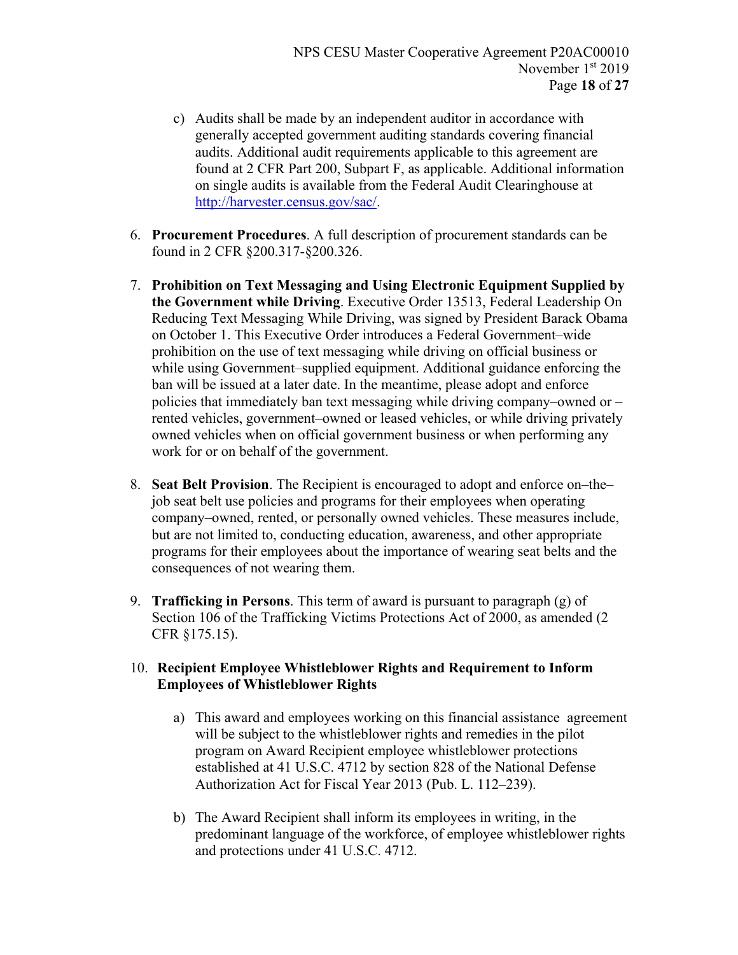- c) Audits shall be made by an independent auditor in accordance with generally accepted government auditing standards covering financial audits. Additional audit requirements applicable to this agreement are found at 2 CFR Part 200, Subpart F, as applicable. Additional information on single audits is available from the Federal Audit Clearinghouse at http://harvester.census.gov/sac/.
- 6. **Procurement Procedures**. A full description of procurement standards can be found in 2 CFR §200.317-§200.326.
- 7. **Prohibition on Text Messaging and Using Electronic Equipment Supplied by the Government while Driving**. Executive Order 13513, Federal Leadership On Reducing Text Messaging While Driving, was signed by President Barack Obama on October 1. This Executive Order introduces a Federal Government–wide prohibition on the use of text messaging while driving on official business or while using Government–supplied equipment. Additional guidance enforcing the ban will be issued at a later date. In the meantime, please adopt and enforce policies that immediately ban text messaging while driving company–owned or – rented vehicles, government–owned or leased vehicles, or while driving privately owned vehicles when on official government business or when performing any work for or on behalf of the government.
- 8. **Seat Belt Provision**. The Recipient is encouraged to adopt and enforce on–the– job seat belt use policies and programs for their employees when operating company–owned, rented, or personally owned vehicles. These measures include, but are not limited to, conducting education, awareness, and other appropriate programs for their employees about the importance of wearing seat belts and the consequences of not wearing them.
- 9. **Trafficking in Persons**. This term of award is pursuant to paragraph (g) of Section 106 of the Trafficking Victims Protections Act of 2000, as amended (2 CFR §175.15).

### 10. **Recipient Employee Whistleblower Rights and Requirement to Inform Employees of Whistleblower Rights**

- a) This award and employees working on this financial assistance agreement will be subject to the whistleblower rights and remedies in the pilot program on Award Recipient employee whistleblower protections established at 41 U.S.C. 4712 by section 828 of the National Defense Authorization Act for Fiscal Year 2013 (Pub. L. 112–239).
- b) The Award Recipient shall inform its employees in writing, in the predominant language of the workforce, of employee whistleblower rights and protections under 41 U.S.C. 4712.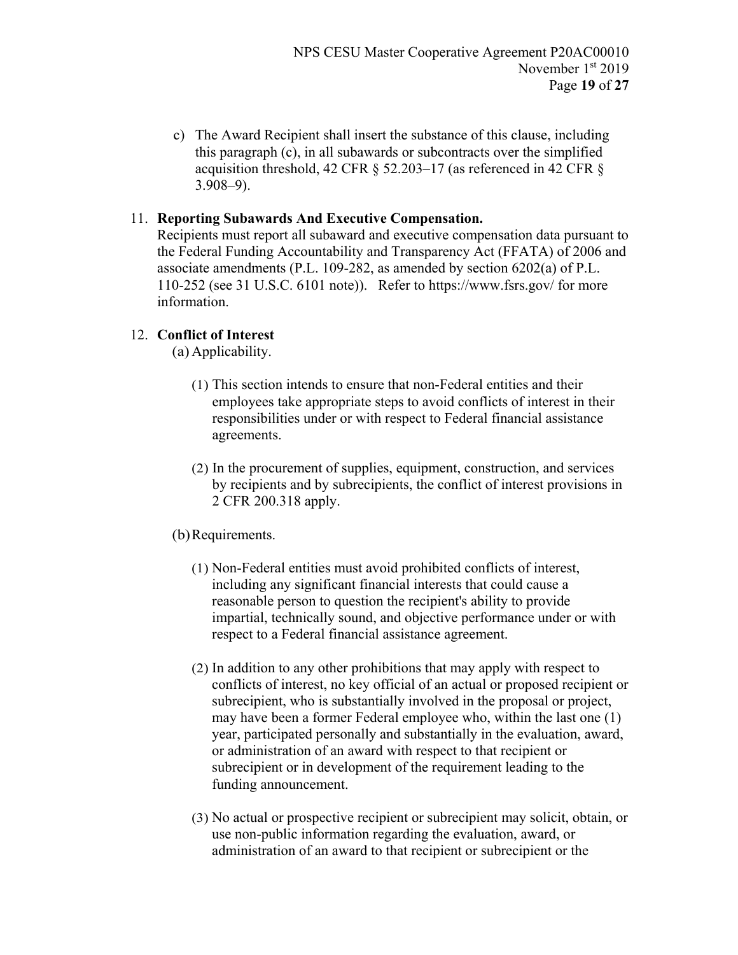c) The Award Recipient shall insert the substance of this clause, including this paragraph (c), in all subawards or subcontracts over the simplified acquisition threshold, 42 CFR § 52.203–17 (as referenced in 42 CFR § 3.908–9).

### 11. **Reporting Subawards And Executive Compensation.**

Recipients must report all subaward and executive compensation data pursuant to the Federal Funding Accountability and Transparency Act (FFATA) of 2006 and associate amendments (P.L. 109-282, as amended by section 6202(a) of P.L. 110-252 (see 31 U.S.C. 6101 note)). Refer to https://www.fsrs.gov/ for more information.

### 12. **Conflict of Interest**

(a) Applicability.

- (1) This section intends to ensure that non-Federal entities and their employees take appropriate steps to avoid conflicts of interest in their responsibilities under or with respect to Federal financial assistance agreements.
- (2) In the procurement of supplies, equipment, construction, and services by recipients and by subrecipients, the conflict of interest provisions in 2 CFR 200.318 apply.

### (b)Requirements.

- (1) Non-Federal entities must avoid prohibited conflicts of interest, including any significant financial interests that could cause a reasonable person to question the recipient's ability to provide impartial, technically sound, and objective performance under or with respect to a Federal financial assistance agreement.
- (2) In addition to any other prohibitions that may apply with respect to conflicts of interest, no key official of an actual or proposed recipient or subrecipient, who is substantially involved in the proposal or project, may have been a former Federal employee who, within the last one (1) year, participated personally and substantially in the evaluation, award, or administration of an award with respect to that recipient or subrecipient or in development of the requirement leading to the funding announcement.
- (3) No actual or prospective recipient or subrecipient may solicit, obtain, or use non-public information regarding the evaluation, award, or administration of an award to that recipient or subrecipient or the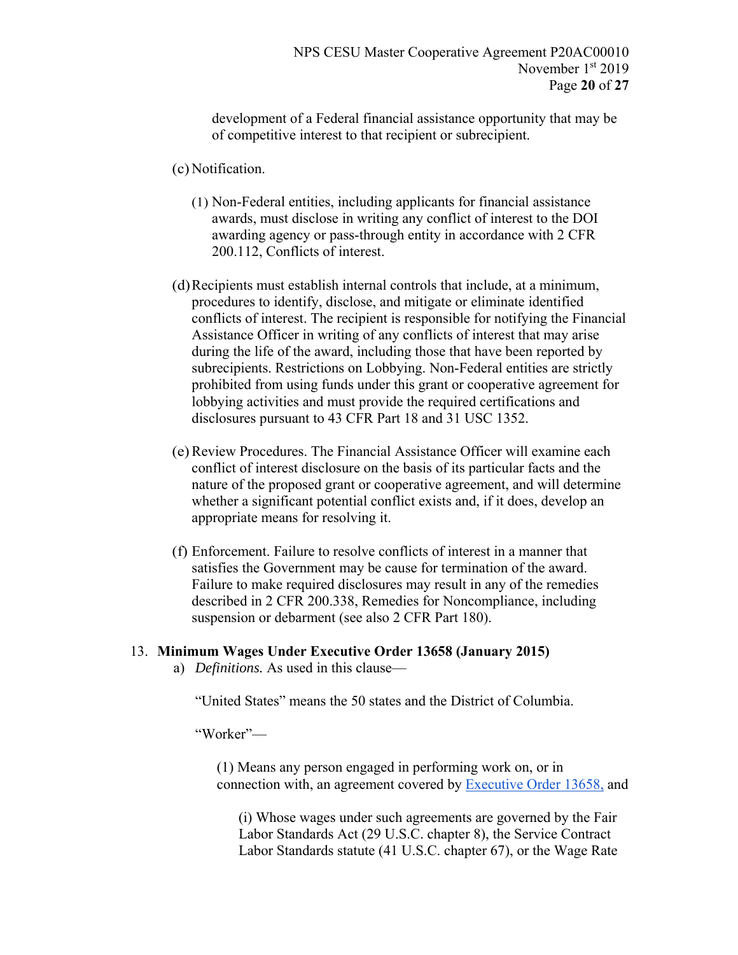development of a Federal financial assistance opportunity that may be of competitive interest to that recipient or subrecipient.

- (c) Notification.
	- (1) Non-Federal entities, including applicants for financial assistance awards, must disclose in writing any conflict of interest to the DOI awarding agency or pass-through entity in accordance with 2 CFR 200.112, Conflicts of interest.
- (d)Recipients must establish internal controls that include, at a minimum, procedures to identify, disclose, and mitigate or eliminate identified conflicts of interest. The recipient is responsible for notifying the Financial Assistance Officer in writing of any conflicts of interest that may arise during the life of the award, including those that have been reported by subrecipients. Restrictions on Lobbying. Non-Federal entities are strictly prohibited from using funds under this grant or cooperative agreement for lobbying activities and must provide the required certifications and disclosures pursuant to 43 CFR Part 18 and 31 USC 1352.
- (e)Review Procedures. The Financial Assistance Officer will examine each conflict of interest disclosure on the basis of its particular facts and the nature of the proposed grant or cooperative agreement, and will determine whether a significant potential conflict exists and, if it does, develop an appropriate means for resolving it.
- (f) Enforcement. Failure to resolve conflicts of interest in a manner that satisfies the Government may be cause for termination of the award. Failure to make required disclosures may result in any of the remedies described in 2 CFR 200.338, Remedies for Noncompliance, including suspension or debarment (see also 2 CFR Part 180).

### 13. **Minimum Wages Under Executive Order 13658 (January 2015)**

a) *Definitions.* As used in this clause—

"United States" means the 50 states and the District of Columbia.

"Worker"—

(1) Means any person engaged in performing work on, or in connection with, an agreement covered by Executive Order 13658, and

(i) Whose wages under such agreements are governed by the Fair Labor Standards Act (29 U.S.C. chapter 8), the Service Contract Labor Standards statute (41 U.S.C. chapter 67), or the Wage Rate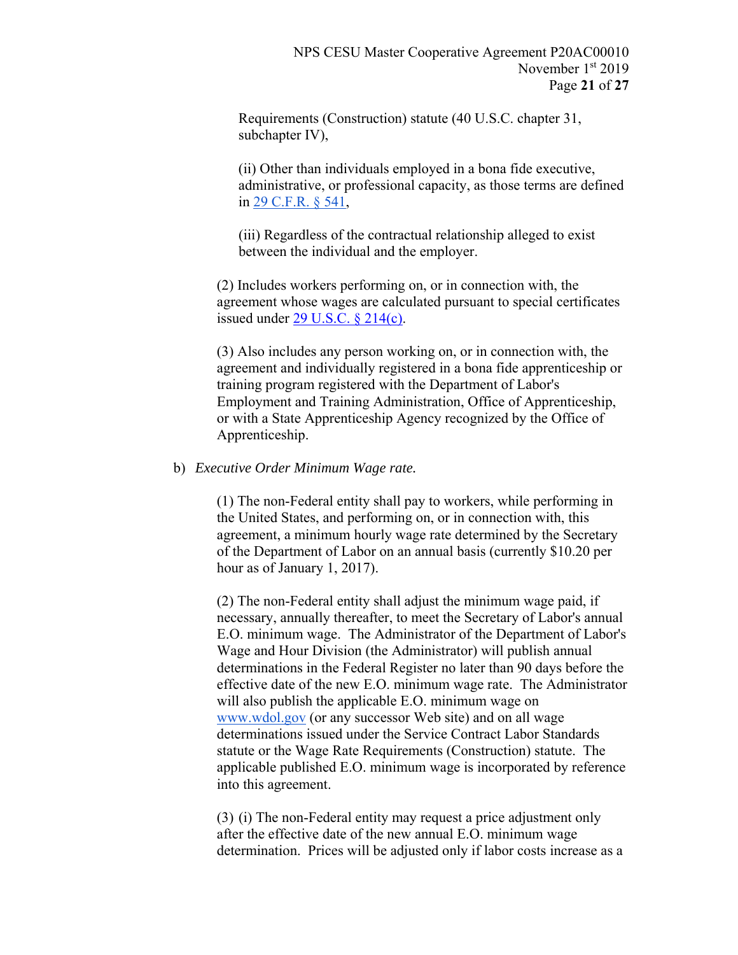Requirements (Construction) statute (40 U.S.C. chapter 31, subchapter IV),

(ii) Other than individuals employed in a bona fide executive, administrative, or professional capacity, as those terms are defined in 29 C.F.R. § 541,

(iii) Regardless of the contractual relationship alleged to exist between the individual and the employer.

(2) Includes workers performing on, or in connection with, the agreement whose wages are calculated pursuant to special certificates issued under 29 U.S.C. § 214(c).

(3) Also includes any person working on, or in connection with, the agreement and individually registered in a bona fide apprenticeship or training program registered with the Department of Labor's Employment and Training Administration, Office of Apprenticeship, or with a State Apprenticeship Agency recognized by the Office of Apprenticeship.

#### b) *Executive Order Minimum Wage rate.*

(1) The non-Federal entity shall pay to workers, while performing in the United States, and performing on, or in connection with, this agreement, a minimum hourly wage rate determined by the Secretary of the Department of Labor on an annual basis (currently \$10.20 per hour as of January 1, 2017).

(2) The non-Federal entity shall adjust the minimum wage paid, if necessary, annually thereafter, to meet the Secretary of Labor's annual E.O. minimum wage. The Administrator of the Department of Labor's Wage and Hour Division (the Administrator) will publish annual determinations in the Federal Register no later than 90 days before the effective date of the new E.O. minimum wage rate. The Administrator will also publish the applicable E.O. minimum wage on www.wdol.gov (or any successor Web site) and on all wage determinations issued under the Service Contract Labor Standards statute or the Wage Rate Requirements (Construction) statute. The applicable published E.O. minimum wage is incorporated by reference into this agreement.

(3) (i) The non-Federal entity may request a price adjustment only after the effective date of the new annual E.O. minimum wage determination. Prices will be adjusted only if labor costs increase as a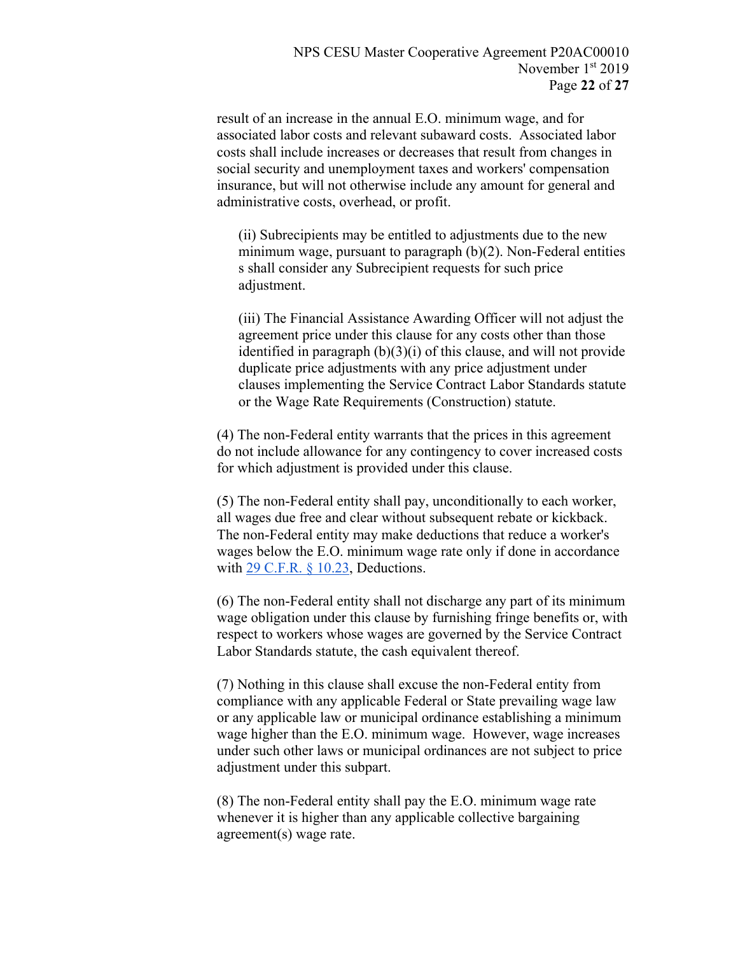result of an increase in the annual E.O. minimum wage, and for associated labor costs and relevant subaward costs. Associated labor costs shall include increases or decreases that result from changes in social security and unemployment taxes and workers' compensation insurance, but will not otherwise include any amount for general and administrative costs, overhead, or profit.

(ii) Subrecipients may be entitled to adjustments due to the new minimum wage, pursuant to paragraph (b)(2). Non-Federal entities s shall consider any Subrecipient requests for such price adjustment.

(iii) The Financial Assistance Awarding Officer will not adjust the agreement price under this clause for any costs other than those identified in paragraph (b)(3)(i) of this clause, and will not provide duplicate price adjustments with any price adjustment under clauses implementing the Service Contract Labor Standards statute or the Wage Rate Requirements (Construction) statute.

(4) The non-Federal entity warrants that the prices in this agreement do not include allowance for any contingency to cover increased costs for which adjustment is provided under this clause.

(5) The non-Federal entity shall pay, unconditionally to each worker, all wages due free and clear without subsequent rebate or kickback. The non-Federal entity may make deductions that reduce a worker's wages below the E.O. minimum wage rate only if done in accordance with 29 C.F.R. § 10.23, Deductions.

(6) The non-Federal entity shall not discharge any part of its minimum wage obligation under this clause by furnishing fringe benefits or, with respect to workers whose wages are governed by the Service Contract Labor Standards statute, the cash equivalent thereof.

(7) Nothing in this clause shall excuse the non-Federal entity from compliance with any applicable Federal or State prevailing wage law or any applicable law or municipal ordinance establishing a minimum wage higher than the E.O. minimum wage. However, wage increases under such other laws or municipal ordinances are not subject to price adjustment under this subpart.

(8) The non-Federal entity shall pay the E.O. minimum wage rate whenever it is higher than any applicable collective bargaining agreement(s) wage rate.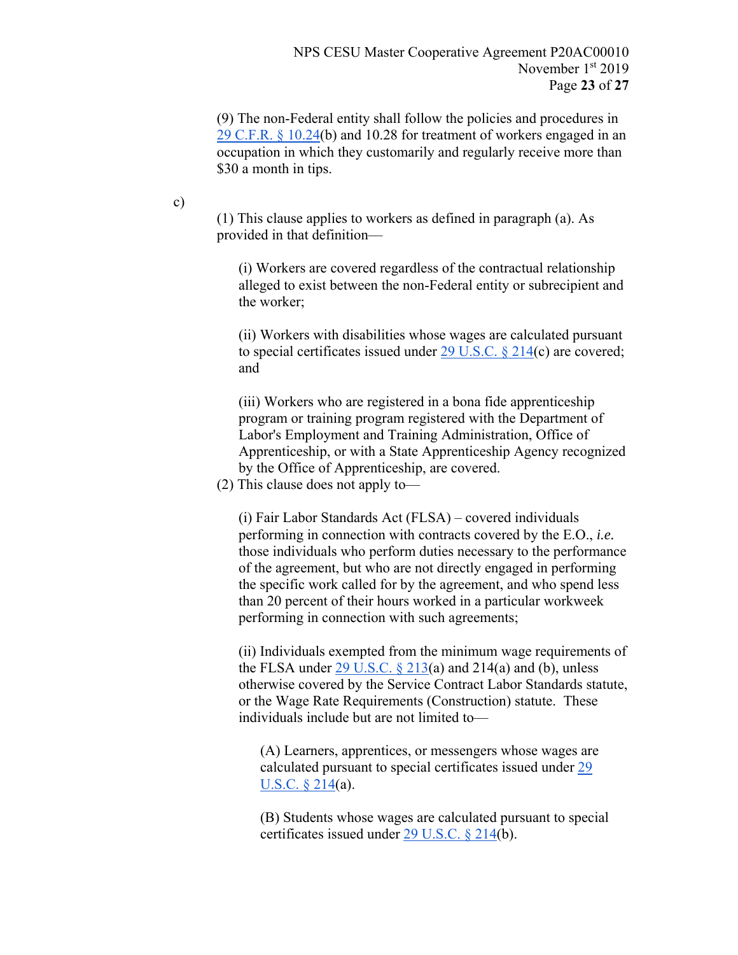(9) The non-Federal entity shall follow the policies and procedures in 29 C.F.R. § 10.24(b) and 10.28 for treatment of workers engaged in an occupation in which they customarily and regularly receive more than \$30 a month in tips.

c)

(1) This clause applies to workers as defined in paragraph (a). As provided in that definition—

(i) Workers are covered regardless of the contractual relationship alleged to exist between the non-Federal entity or subrecipient and the worker;

(ii) Workers with disabilities whose wages are calculated pursuant to special certificates issued under  $29$  U.S.C. § 214(c) are covered; and

(iii) Workers who are registered in a bona fide apprenticeship program or training program registered with the Department of Labor's Employment and Training Administration, Office of Apprenticeship, or with a State Apprenticeship Agency recognized by the Office of Apprenticeship, are covered.

(2) This clause does not apply to—

(i) Fair Labor Standards Act (FLSA) – covered individuals performing in connection with contracts covered by the E.O., *i.e.* those individuals who perform duties necessary to the performance of the agreement, but who are not directly engaged in performing the specific work called for by the agreement, and who spend less than 20 percent of their hours worked in a particular workweek performing in connection with such agreements;

(ii) Individuals exempted from the minimum wage requirements of the FLSA under  $\frac{29 \text{ U.S.C. } § 213(a)$  and  $214(a)$  and (b), unless otherwise covered by the Service Contract Labor Standards statute, or the Wage Rate Requirements (Construction) statute. These individuals include but are not limited to—

(A) Learners, apprentices, or messengers whose wages are calculated pursuant to special certificates issued under 29 U.S.C. § 214(a).

(B) Students whose wages are calculated pursuant to special certificates issued under  $29$  U.S.C. § 214(b).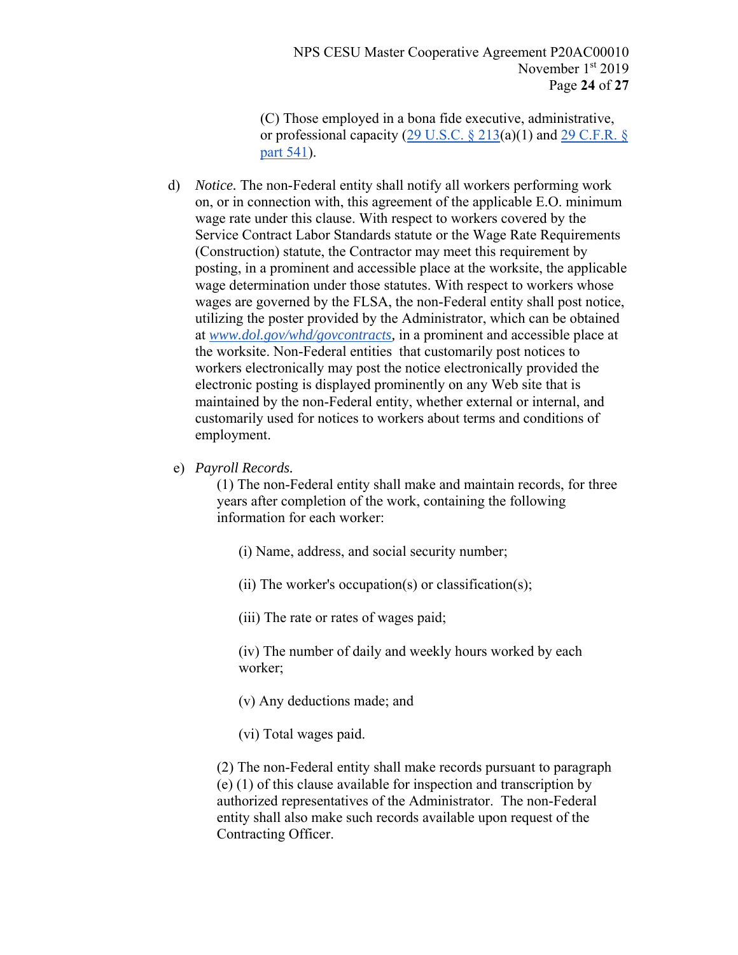NPS CESU Master Cooperative Agreement P20AC00010 November 1st 2019 Page **24** of **27**

(C) Those employed in a bona fide executive, administrative, or professional capacity (29 U.S.C.  $\S$  213(a)(1) and 29 C.F.R.  $\S$ part 541).

- d) *Notice.* The non-Federal entity shall notify all workers performing work on, or in connection with, this agreement of the applicable E.O. minimum wage rate under this clause. With respect to workers covered by the Service Contract Labor Standards statute or the Wage Rate Requirements (Construction) statute, the Contractor may meet this requirement by posting, in a prominent and accessible place at the worksite, the applicable wage determination under those statutes. With respect to workers whose wages are governed by the FLSA, the non-Federal entity shall post notice, utilizing the poster provided by the Administrator, which can be obtained at *www.dol.gov/whd/govcontracts,* in a prominent and accessible place at the worksite. Non-Federal entities that customarily post notices to workers electronically may post the notice electronically provided the electronic posting is displayed prominently on any Web site that is maintained by the non-Federal entity, whether external or internal, and customarily used for notices to workers about terms and conditions of employment.
- e) *Payroll Records.*

(1) The non-Federal entity shall make and maintain records, for three years after completion of the work, containing the following information for each worker:

- (i) Name, address, and social security number;
- (ii) The worker's occupation(s) or classification(s);
- (iii) The rate or rates of wages paid;
- (iv) The number of daily and weekly hours worked by each worker;
- (v) Any deductions made; and
- (vi) Total wages paid.

(2) The non-Federal entity shall make records pursuant to paragraph (e) (1) of this clause available for inspection and transcription by authorized representatives of the Administrator. The non-Federal entity shall also make such records available upon request of the Contracting Officer.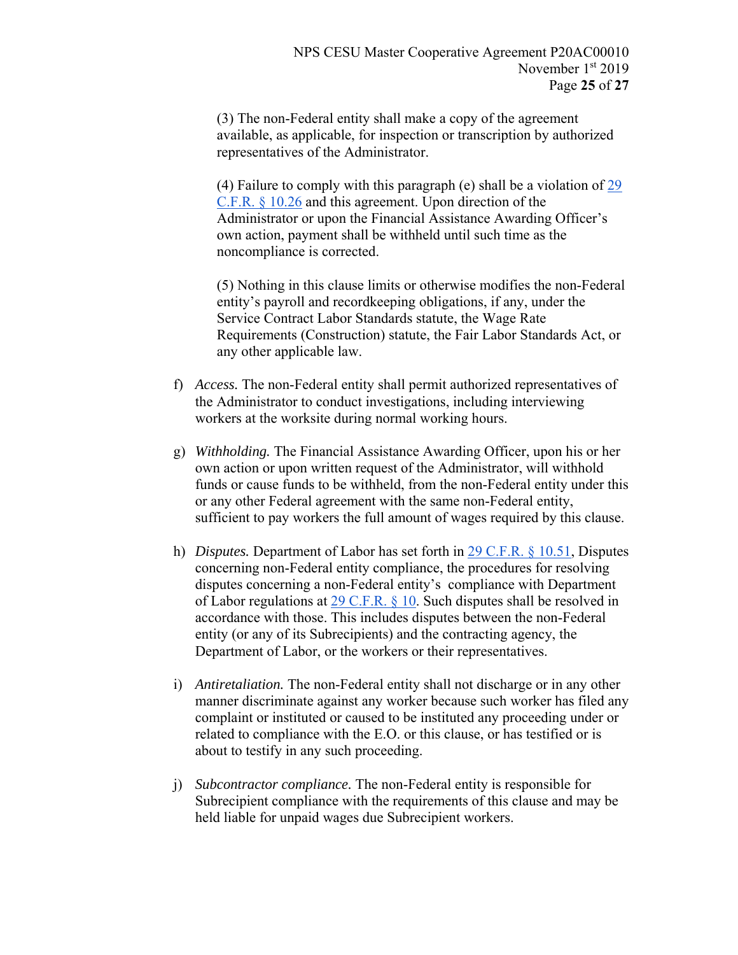(3) The non-Federal entity shall make a copy of the agreement available, as applicable, for inspection or transcription by authorized representatives of the Administrator.

(4) Failure to comply with this paragraph (e) shall be a violation of 29 C.F.R. § 10.26 and this agreement. Upon direction of the Administrator or upon the Financial Assistance Awarding Officer's own action, payment shall be withheld until such time as the noncompliance is corrected.

(5) Nothing in this clause limits or otherwise modifies the non-Federal entity's payroll and recordkeeping obligations, if any, under the Service Contract Labor Standards statute, the Wage Rate Requirements (Construction) statute, the Fair Labor Standards Act, or any other applicable law.

- f) *Access.* The non-Federal entity shall permit authorized representatives of the Administrator to conduct investigations, including interviewing workers at the worksite during normal working hours.
- g) *Withholding.* The Financial Assistance Awarding Officer, upon his or her own action or upon written request of the Administrator, will withhold funds or cause funds to be withheld, from the non-Federal entity under this or any other Federal agreement with the same non-Federal entity, sufficient to pay workers the full amount of wages required by this clause.
- h) *Disputes.* Department of Labor has set forth in 29 C.F.R. § 10.51, Disputes concerning non-Federal entity compliance, the procedures for resolving disputes concerning a non-Federal entity's compliance with Department of Labor regulations at 29 C.F.R. § 10. Such disputes shall be resolved in accordance with those. This includes disputes between the non-Federal entity (or any of its Subrecipients) and the contracting agency, the Department of Labor, or the workers or their representatives.
- i) *Antiretaliation.* The non-Federal entity shall not discharge or in any other manner discriminate against any worker because such worker has filed any complaint or instituted or caused to be instituted any proceeding under or related to compliance with the E.O. or this clause, or has testified or is about to testify in any such proceeding.
- j) *Subcontractor compliance.* The non-Federal entity is responsible for Subrecipient compliance with the requirements of this clause and may be held liable for unpaid wages due Subrecipient workers.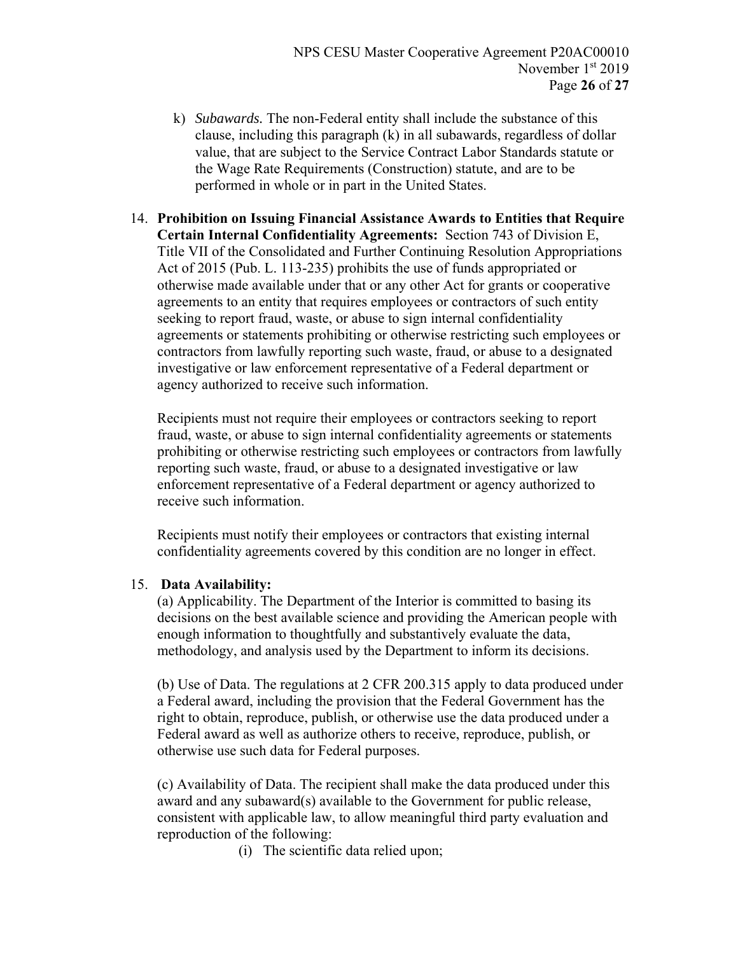- k) *Subawards.* The non-Federal entity shall include the substance of this clause, including this paragraph (k) in all subawards, regardless of dollar value, that are subject to the Service Contract Labor Standards statute or the Wage Rate Requirements (Construction) statute, and are to be performed in whole or in part in the United States.
- 14. **Prohibition on Issuing Financial Assistance Awards to Entities that Require Certain Internal Confidentiality Agreements:** Section 743 of Division E, Title VII of the Consolidated and Further Continuing Resolution Appropriations Act of 2015 (Pub. L. 113-235) prohibits the use of funds appropriated or otherwise made available under that or any other Act for grants or cooperative agreements to an entity that requires employees or contractors of such entity seeking to report fraud, waste, or abuse to sign internal confidentiality agreements or statements prohibiting or otherwise restricting such employees or contractors from lawfully reporting such waste, fraud, or abuse to a designated investigative or law enforcement representative of a Federal department or agency authorized to receive such information.

Recipients must not require their employees or contractors seeking to report fraud, waste, or abuse to sign internal confidentiality agreements or statements prohibiting or otherwise restricting such employees or contractors from lawfully reporting such waste, fraud, or abuse to a designated investigative or law enforcement representative of a Federal department or agency authorized to receive such information.

Recipients must notify their employees or contractors that existing internal confidentiality agreements covered by this condition are no longer in effect.

### 15. **Data Availability:**

(a) Applicability. The Department of the Interior is committed to basing its decisions on the best available science and providing the American people with enough information to thoughtfully and substantively evaluate the data, methodology, and analysis used by the Department to inform its decisions.

(b) Use of Data. The regulations at 2 CFR 200.315 apply to data produced under a Federal award, including the provision that the Federal Government has the right to obtain, reproduce, publish, or otherwise use the data produced under a Federal award as well as authorize others to receive, reproduce, publish, or otherwise use such data for Federal purposes.

(c) Availability of Data. The recipient shall make the data produced under this award and any subaward(s) available to the Government for public release, consistent with applicable law, to allow meaningful third party evaluation and reproduction of the following:

(i) The scientific data relied upon;